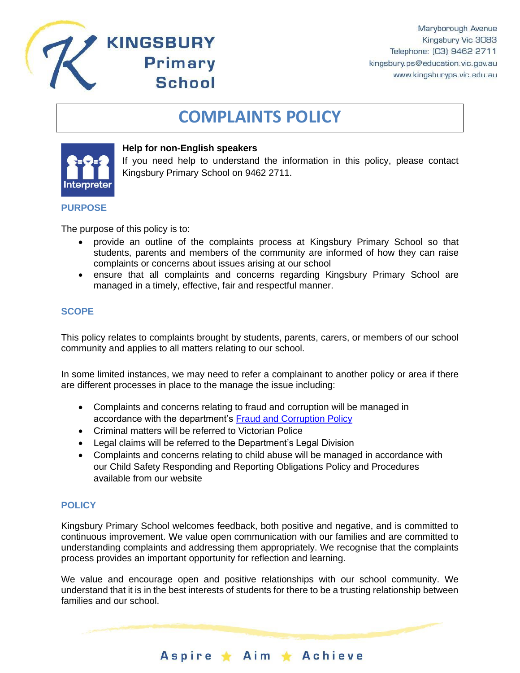

# **COMPLAINTS POLICY**



#### **Help for non-English speakers**

**KINGSBURY** 

**Primary** 

**School** 

If you need help to understand the information in this policy, please contact Kingsbury Primary School on 9462 2711.

#### **PURPOSE**

The purpose of this policy is to:

- provide an outline of the complaints process at Kingsbury Primary School so that students, parents and members of the community are informed of how they can raise complaints or concerns about issues arising at our school
- ensure that all complaints and concerns regarding Kingsbury Primary School are managed in a timely, effective, fair and respectful manner.

## **SCOPE**

This policy relates to complaints brought by students, parents, carers, or members of our school community and applies to all matters relating to our school.

In some limited instances, we may need to refer a complainant to another policy or area if there are different processes in place to the manage the issue including:

- Complaints and concerns relating to fraud and corruption will be managed in accordance with the department's [Fraud and Corruption Policy](https://www2.education.vic.gov.au/pal/report-fraud-or-corruption/overview)
- Criminal matters will be referred to Victorian Police
- Legal claims will be referred to the Department's Legal Division
- Complaints and concerns relating to child abuse will be managed in accordance with our Child Safety Responding and Reporting Obligations Policy and Procedures available from our website

## **POLICY**

Kingsbury Primary School welcomes feedback, both positive and negative, and is committed to continuous improvement. We value open communication with our families and are committed to understanding complaints and addressing them appropriately. We recognise that the complaints process provides an important opportunity for reflection and learning.

We value and encourage open and positive relationships with our school community. We understand that it is in the best interests of students for there to be a trusting relationship between families and our school.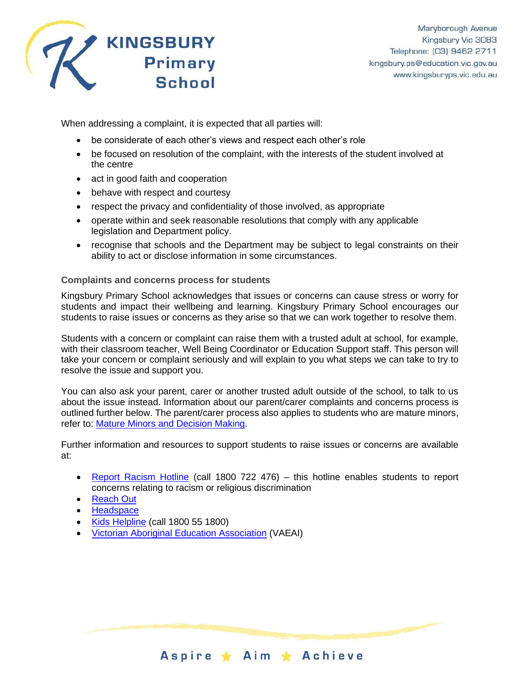

When addressing a complaint, it is expected that all parties will:

- be considerate of each other's views and respect each other's role
- be focused on resolution of the complaint, with the interests of the student involved at the centre
- act in good faith and cooperation
- behave with respect and courtesy
- respect the privacy and confidentiality of those involved, as appropriate
- operate within and seek reasonable resolutions that comply with any applicable legislation and Department policy.
- recognise that schools and the Department may be subject to legal constraints on their ability to act or disclose information in some circumstances.

## **Complaints and concerns process for students**

Kingsbury Primary School acknowledges that issues or concerns can cause stress or worry for students and impact their wellbeing and learning. Kingsbury Primary School encourages our students to raise issues or concerns as they arise so that we can work together to resolve them.

Students with a concern or complaint can raise them with a trusted adult at school, for example, with their classroom teacher, Well Being Coordinator or Education Support staff. This person will take your concern or complaint seriously and will explain to you what steps we can take to try to resolve the issue and support you.

You can also ask your parent, carer or another trusted adult outside of the school, to talk to us about the issue instead. Information about our parent/carer complaints and concerns process is outlined further below. The parent/carer process also applies to students who are mature minors, refer to: [Mature Minors and Decision Making.](https://www2.education.vic.gov.au/pal/mature-minors-and-decision-making/policy)

Further information and resources to support students to raise issues or concerns are available at:

- [Report Racism Hotline](https://www.vic.gov.au/report-racism-or-religious-discrimination-schools) (call 1800 722 476) this hotline enables students to report concerns relating to racism or religious discrimination
- [Reach Out](https://au.reachout.com/?gclid=CjwKCAiAgbiQBhAHEiwAuQ6BktaB5xneGFK3TnOql5c5eZ7af7dDm9ffLZa7N59FEtbtQzVIk8sGWhoC8N0QAvD_BwE)
- [Headspace](https://headspace.org.au/)
- [Kids Helpline](https://kidshelpline.com.au/?gclid=CjwKCAiAgbiQBhAHEiwAuQ6Bkro6UD2EBcRILznFnRhKjfi5I84jJlUa0fyiiYLQ4mHx5sXTStxH8BoCCEIQAvD_BwE) (call 1800 55 1800)
- [Victorian Aboriginal Education Association](https://www.vaeai.org.au/) (VAEAI)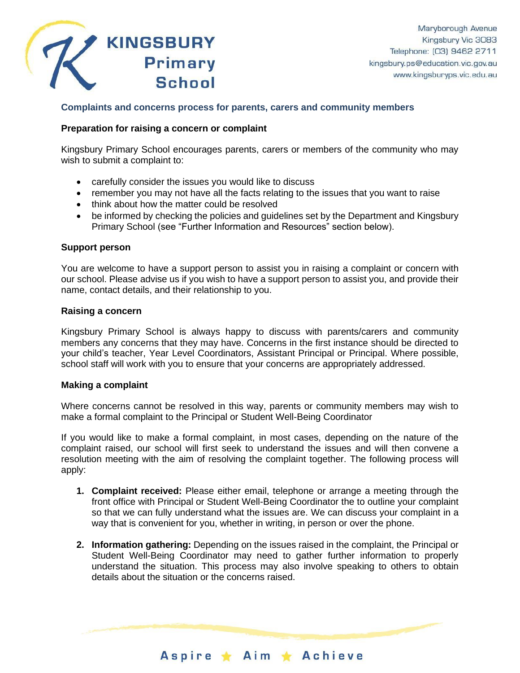

## **Complaints and concerns process for parents, carers and community members**

## **Preparation for raising a concern or complaint**

Kingsbury Primary School encourages parents, carers or members of the community who may wish to submit a complaint to:

- carefully consider the issues you would like to discuss
- remember you may not have all the facts relating to the issues that you want to raise
- think about how the matter could be resolved
- be informed by checking the policies and guidelines set by the Department and Kingsbury Primary School (see "Further Information and Resources" section below).

#### **Support person**

You are welcome to have a support person to assist you in raising a complaint or concern with our school. Please advise us if you wish to have a support person to assist you, and provide their name, contact details, and their relationship to you.

#### **Raising a concern**

Kingsbury Primary School is always happy to discuss with parents/carers and community members any concerns that they may have. Concerns in the first instance should be directed to your child's teacher, Year Level Coordinators, Assistant Principal or Principal. Where possible, school staff will work with you to ensure that your concerns are appropriately addressed.

#### **Making a complaint**

Where concerns cannot be resolved in this way, parents or community members may wish to make a formal complaint to the Principal or Student Well-Being Coordinator

If you would like to make a formal complaint, in most cases, depending on the nature of the complaint raised, our school will first seek to understand the issues and will then convene a resolution meeting with the aim of resolving the complaint together. The following process will apply:

- **1. Complaint received:** Please either email, telephone or arrange a meeting through the front office with Principal or Student Well-Being Coordinator the to outline your complaint so that we can fully understand what the issues are. We can discuss your complaint in a way that is convenient for you, whether in writing, in person or over the phone.
- **2. Information gathering:** Depending on the issues raised in the complaint, the Principal or Student Well-Being Coordinator may need to gather further information to properly understand the situation. This process may also involve speaking to others to obtain details about the situation or the concerns raised.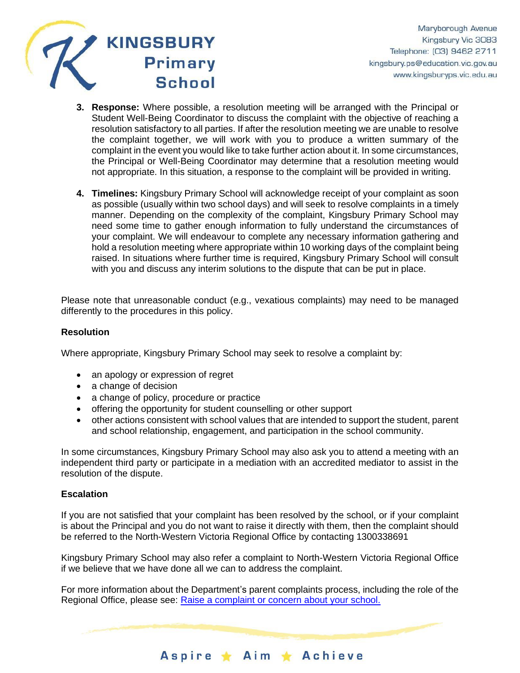

- **3. Response:** Where possible, a resolution meeting will be arranged with the Principal or Student Well-Being Coordinator to discuss the complaint with the objective of reaching a resolution satisfactory to all parties. If after the resolution meeting we are unable to resolve the complaint together, we will work with you to produce a written summary of the complaint in the event you would like to take further action about it. In some circumstances, the Principal or Well-Being Coordinator may determine that a resolution meeting would not appropriate. In this situation, a response to the complaint will be provided in writing.
- **4. Timelines:** Kingsbury Primary School will acknowledge receipt of your complaint as soon as possible (usually within two school days) and will seek to resolve complaints in a timely manner. Depending on the complexity of the complaint, Kingsbury Primary School may need some time to gather enough information to fully understand the circumstances of your complaint. We will endeavour to complete any necessary information gathering and hold a resolution meeting where appropriate within 10 working days of the complaint being raised. In situations where further time is required, Kingsbury Primary School will consult with you and discuss any interim solutions to the dispute that can be put in place.

Please note that unreasonable conduct (e.g., vexatious complaints) may need to be managed differently to the procedures in this policy.

## **Resolution**

Where appropriate, Kingsbury Primary School may seek to resolve a complaint by:

- an apology or expression of regret
- a change of decision
- a change of policy, procedure or practice
- offering the opportunity for student counselling or other support
- other actions consistent with school values that are intended to support the student, parent and school relationship, engagement, and participation in the school community.

In some circumstances, Kingsbury Primary School may also ask you to attend a meeting with an independent third party or participate in a mediation with an accredited mediator to assist in the resolution of the dispute.

#### **Escalation**

If you are not satisfied that your complaint has been resolved by the school, or if your complaint is about the Principal and you do not want to raise it directly with them, then the complaint should be referred to the North-Western Victoria Regional Office by contacting 1300338691

Kingsbury Primary School may also refer a complaint to North-Western Victoria Regional Office if we believe that we have done all we can to address the complaint.

For more information about the Department's parent complaints process, including the role of the Regional Office, please see: [Raise a complaint or concern about your school.](https://www.vic.gov.au/raise-complaint-or-concern-about-your-school#speaking-to-your-school)